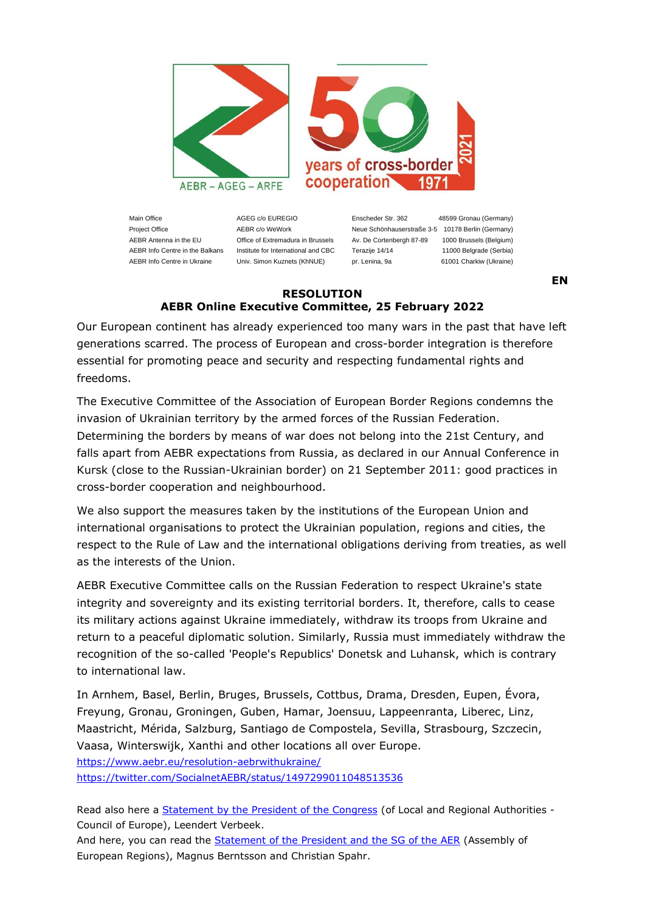

Main Office **AGEG c/o EUREGIO** Enscheder Str. 362 48599 Gronau (Germany)

Project Office **AEBR c/o WeWork** Neue Schönhauserstraße 3-5 10178 Berlin (Germany) AEBR Antenna in the EU Office of Extremadura in Brussels Av. De Cortenbergh 87-89 1000 Brussels (Belgium) AEBR Info Centre in the Balkans Institute for International and CBC Terazije 14/14 11000 Belgrade (Serbia) AEBR Info Centre in Ukraine Univ. Simon Kuznets (KhNUE) pr. Lenina, 9a 61001 Charkiw (Ukraine)

**EN**

## **RESOLUTION AEBR Online Executive Committee, 25 February 2022**

Our European continent has already experienced too many wars in the past that have left generations scarred. The process of European and cross-border integration is therefore essential for promoting peace and security and respecting fundamental rights and freedoms.

The Executive Committee of the Association of European Border Regions condemns the invasion of Ukrainian territory by the armed forces of the Russian Federation. Determining the borders by means of war does not belong into the 21st Century, and falls apart from AEBR expectations from Russia, as declared in our Annual Conference in Kursk (close to the Russian-Ukrainian border) on 21 September 2011: good practices in cross-border cooperation and neighbourhood.

We also support the measures taken by the institutions of the European Union and international organisations to protect the Ukrainian population, regions and cities, the respect to the Rule of Law and the international obligations deriving from treaties, as well as the interests of the Union.

AEBR Executive Committee calls on the Russian Federation to respect Ukraine's state integrity and sovereignty and its existing territorial borders. It, therefore, calls to cease its military actions against Ukraine immediately, withdraw its troops from Ukraine and return to a peaceful diplomatic solution. Similarly, Russia must immediately withdraw the recognition of the so-called 'People's Republics' Donetsk and Luhansk, which is contrary to international law.

In Arnhem, Basel, Berlin, Bruges, Brussels, Cottbus, Drama, Dresden, Eupen, Évora, Freyung, Gronau, Groningen, Guben, Hamar, Joensuu, Lappeenranta, Liberec, Linz, Maastricht, Mérida, Salzburg, Santiago de Compostela, Sevilla, Strasbourg, Szczecin, Vaasa, Winterswijk, Xanthi and other locations all over Europe. <https://www.aebr.eu/resolution-aebrwithukraine/> <https://twitter.com/SocialnetAEBR/status/1497299011048513536>

Read also here a **[Statement by the President of the Congress](https://www.coe.int/en/web/congress/-/statement-by-the-president-of-the-council-of-europe-congress-on-the-russian-military-attack-against-ukraine)** (of Local and Regional Authorities -Council of Europe), Leendert Verbeek.

And here, you can read the [Statement of the President and the SG of the AER](https://drive.google.com/file/d/1fLDRmvD4SNhYuu7Xkbtedaz1t5YvcZ78/view) (Assembly of European Regions), Magnus Berntsson and Christian Spahr.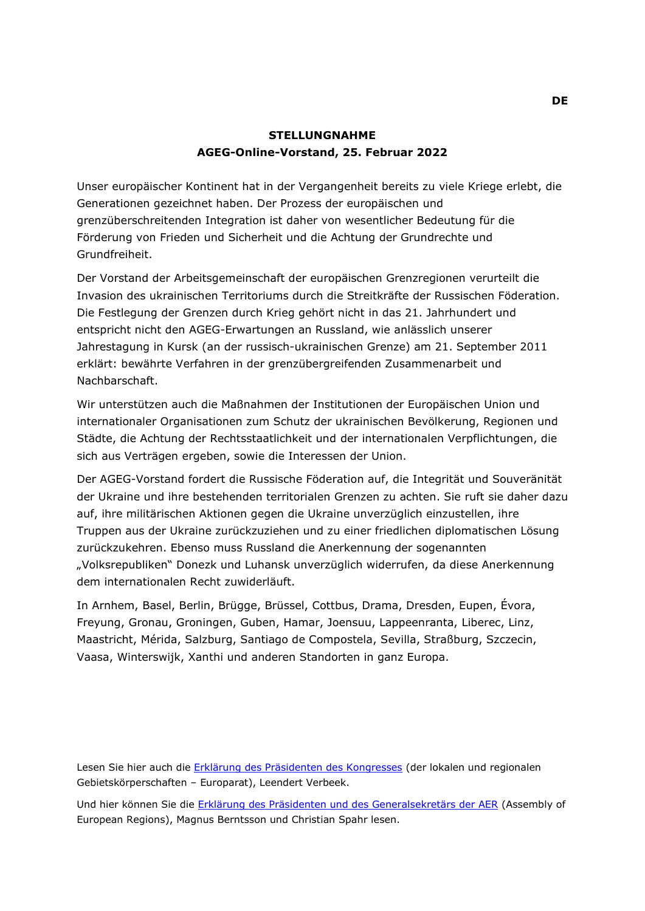## **STELLUNGNAHME AGEG-Online-Vorstand, 25. Februar 2022**

Unser europäischer Kontinent hat in der Vergangenheit bereits zu viele Kriege erlebt, die Generationen gezeichnet haben. Der Prozess der europäischen und grenzüberschreitenden Integration ist daher von wesentlicher Bedeutung für die Förderung von Frieden und Sicherheit und die Achtung der Grundrechte und Grundfreiheit.

Der Vorstand der Arbeitsgemeinschaft der europäischen Grenzregionen verurteilt die Invasion des ukrainischen Territoriums durch die Streitkräfte der Russischen Föderation. Die Festlegung der Grenzen durch Krieg gehört nicht in das 21. Jahrhundert und entspricht nicht den AGEG-Erwartungen an Russland, wie anlässlich unserer Jahrestagung in Kursk (an der russisch-ukrainischen Grenze) am 21. September 2011 erklärt: bewährte Verfahren in der grenzübergreifenden Zusammenarbeit und **Nachbarschaft** 

Wir unterstützen auch die Maßnahmen der Institutionen der Europäischen Union und internationaler Organisationen zum Schutz der ukrainischen Bevölkerung, Regionen und Städte, die Achtung der Rechtsstaatlichkeit und der internationalen Verpflichtungen, die sich aus Verträgen ergeben, sowie die Interessen der Union.

Der AGEG-Vorstand fordert die Russische Föderation auf, die Integrität und Souveränität der Ukraine und ihre bestehenden territorialen Grenzen zu achten. Sie ruft sie daher dazu auf, ihre militärischen Aktionen gegen die Ukraine unverzüglich einzustellen, ihre Truppen aus der Ukraine zurückzuziehen und zu einer friedlichen diplomatischen Lösung zurückzukehren. Ebenso muss Russland die Anerkennung der sogenannten "Volksrepubliken" Donezk und Luhansk unverzüglich widerrufen, da diese Anerkennung dem internationalen Recht zuwiderläuft.

In Arnhem, Basel, Berlin, Brügge, Brüssel, Cottbus, Drama, Dresden, Eupen, Évora, Freyung, Gronau, Groningen, Guben, Hamar, Joensuu, Lappeenranta, Liberec, Linz, Maastricht, Mérida, Salzburg, Santiago de Compostela, Sevilla, Straßburg, Szczecin, Vaasa, Winterswijk, Xanthi und anderen Standorten in ganz Europa.

Lesen Sie hier auch die [Erklärung des Präsidenten des Kongresses](https://www.coe.int/en/web/congress/-/statement-by-the-president-of-the-council-of-europe-congress-on-the-russian-military-attack-against-ukraine) (der lokalen und regionalen Gebietskörperschaften – Europarat), Leendert Verbeek.

Und hier können Sie die [Erklärung des Präsidenten und des Generalsekretärs der AER](https://drive.google.com/file/d/1fLDRmvD4SNhYuu7Xkbtedaz1t5YvcZ78/view) (Assembly of European Regions), Magnus Berntsson und Christian Spahr lesen.